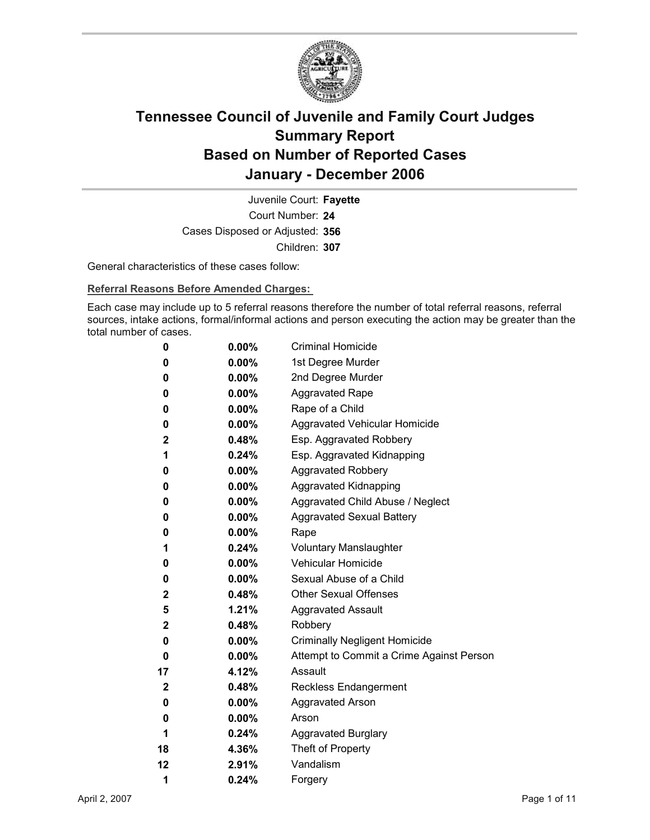

Court Number: **24** Juvenile Court: **Fayette** Cases Disposed or Adjusted: **356** Children: **307**

General characteristics of these cases follow:

**Referral Reasons Before Amended Charges:** 

Each case may include up to 5 referral reasons therefore the number of total referral reasons, referral sources, intake actions, formal/informal actions and person executing the action may be greater than the total number of cases.

| 0            | $0.00\%$ | <b>Criminal Homicide</b>                 |
|--------------|----------|------------------------------------------|
| 0            | $0.00\%$ | 1st Degree Murder                        |
| 0            | $0.00\%$ | 2nd Degree Murder                        |
| 0            | $0.00\%$ | <b>Aggravated Rape</b>                   |
| 0            | $0.00\%$ | Rape of a Child                          |
| 0            | $0.00\%$ | Aggravated Vehicular Homicide            |
| $\mathbf 2$  | $0.48\%$ | Esp. Aggravated Robbery                  |
| 1            | $0.24\%$ | Esp. Aggravated Kidnapping               |
| 0            | $0.00\%$ | <b>Aggravated Robbery</b>                |
| 0            | $0.00\%$ | <b>Aggravated Kidnapping</b>             |
| 0            | $0.00\%$ | Aggravated Child Abuse / Neglect         |
| 0            | $0.00\%$ | <b>Aggravated Sexual Battery</b>         |
| 0            | $0.00\%$ | Rape                                     |
| 1            | $0.24\%$ | <b>Voluntary Manslaughter</b>            |
| 0            | $0.00\%$ | <b>Vehicular Homicide</b>                |
| 0            | $0.00\%$ | Sexual Abuse of a Child                  |
| $\mathbf{2}$ | $0.48\%$ | <b>Other Sexual Offenses</b>             |
| 5            | $1.21\%$ | <b>Aggravated Assault</b>                |
| 2            | $0.48\%$ | Robbery                                  |
| 0            | $0.00\%$ | <b>Criminally Negligent Homicide</b>     |
| 0            | $0.00\%$ | Attempt to Commit a Crime Against Person |
| 17           | 4.12%    | Assault                                  |
| $\mathbf 2$  | 0.48%    | <b>Reckless Endangerment</b>             |
| 0            | $0.00\%$ | <b>Aggravated Arson</b>                  |
| 0            | $0.00\%$ | Arson                                    |
| 1            | $0.24\%$ | <b>Aggravated Burglary</b>               |
| 18           | 4.36%    | Theft of Property                        |
| 12           | $2.91\%$ | Vandalism                                |
| 1            | 0.24%    | Forgery                                  |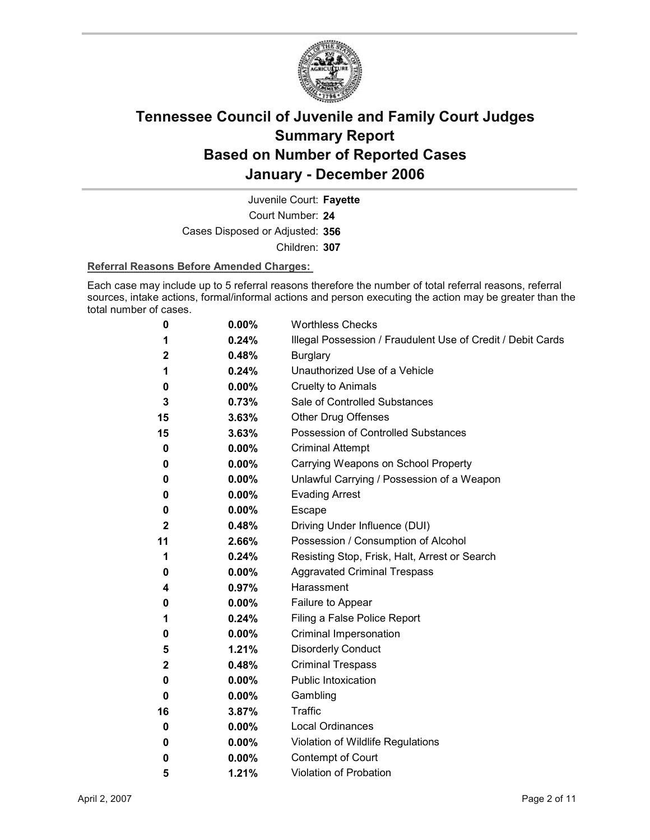

Court Number: **24** Juvenile Court: **Fayette** Cases Disposed or Adjusted: **356** Children: **307**

#### **Referral Reasons Before Amended Charges:**

Each case may include up to 5 referral reasons therefore the number of total referral reasons, referral sources, intake actions, formal/informal actions and person executing the action may be greater than the total number of cases.

| 0            | 0.00%    | <b>Worthless Checks</b>                                     |
|--------------|----------|-------------------------------------------------------------|
| 1            | 0.24%    | Illegal Possession / Fraudulent Use of Credit / Debit Cards |
| 2            | 0.48%    | <b>Burglary</b>                                             |
| 1            | 0.24%    | Unauthorized Use of a Vehicle                               |
| 0            | 0.00%    | <b>Cruelty to Animals</b>                                   |
| 3            | 0.73%    | Sale of Controlled Substances                               |
| 15           | 3.63%    | Other Drug Offenses                                         |
| 15           | 3.63%    | <b>Possession of Controlled Substances</b>                  |
| 0            | $0.00\%$ | <b>Criminal Attempt</b>                                     |
| 0            | 0.00%    | Carrying Weapons on School Property                         |
| 0            | 0.00%    | Unlawful Carrying / Possession of a Weapon                  |
| 0            | 0.00%    | <b>Evading Arrest</b>                                       |
| 0            | 0.00%    | <b>Escape</b>                                               |
| $\mathbf{2}$ | 0.48%    | Driving Under Influence (DUI)                               |
| 11           | 2.66%    | Possession / Consumption of Alcohol                         |
| 1            | 0.24%    | Resisting Stop, Frisk, Halt, Arrest or Search               |
| 0            | $0.00\%$ | <b>Aggravated Criminal Trespass</b>                         |
| 4            | 0.97%    | Harassment                                                  |
| 0            | 0.00%    | Failure to Appear                                           |
| 1            | 0.24%    | Filing a False Police Report                                |
| 0            | $0.00\%$ | Criminal Impersonation                                      |
| 5            | 1.21%    | <b>Disorderly Conduct</b>                                   |
| $\mathbf 2$  | 0.48%    | <b>Criminal Trespass</b>                                    |
| 0            | 0.00%    | Public Intoxication                                         |
| 0            | $0.00\%$ | Gambling                                                    |
| 16           | 3.87%    | <b>Traffic</b>                                              |
| 0            | 0.00%    | <b>Local Ordinances</b>                                     |
| 0            | 0.00%    | Violation of Wildlife Regulations                           |
| 0            | $0.00\%$ | Contempt of Court                                           |
| 5            | 1.21%    | <b>Violation of Probation</b>                               |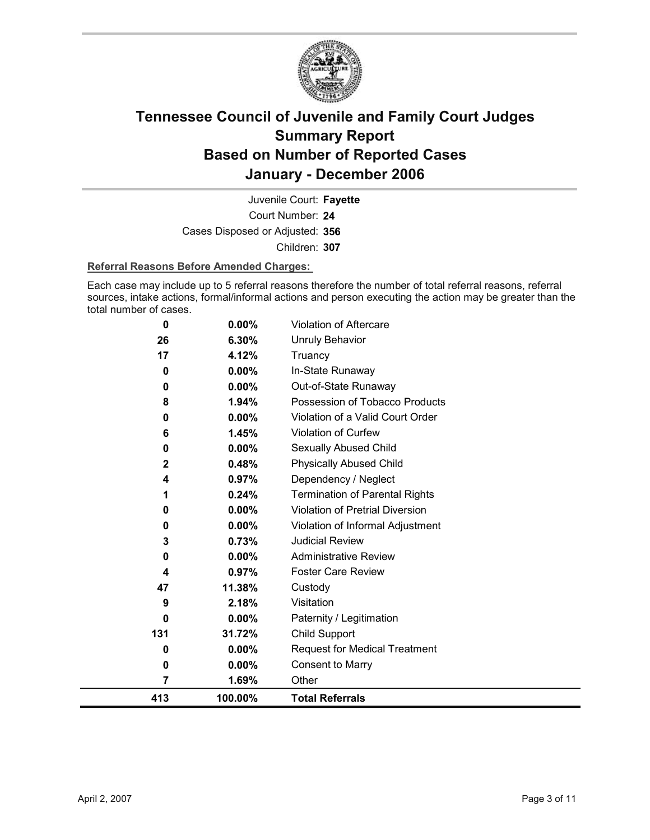

Court Number: **24** Juvenile Court: **Fayette** Cases Disposed or Adjusted: **356** Children: **307**

#### **Referral Reasons Before Amended Charges:**

Each case may include up to 5 referral reasons therefore the number of total referral reasons, referral sources, intake actions, formal/informal actions and person executing the action may be greater than the total number of cases.

| 413         | 100.00%  | <b>Total Referrals</b>                |
|-------------|----------|---------------------------------------|
| 7           | 1.69%    | Other                                 |
| 0           | 0.00%    | <b>Consent to Marry</b>               |
| 0           | 0.00%    | <b>Request for Medical Treatment</b>  |
| 131         | 31.72%   | Child Support                         |
| 0           | $0.00\%$ | Paternity / Legitimation              |
| 9           | 2.18%    | Visitation                            |
| 47          | 11.38%   | Custody                               |
| 4           | 0.97%    | <b>Foster Care Review</b>             |
| 0           | 0.00%    | <b>Administrative Review</b>          |
| 3           | 0.73%    | <b>Judicial Review</b>                |
| 0           | 0.00%    | Violation of Informal Adjustment      |
| 0           | 0.00%    | Violation of Pretrial Diversion       |
|             | 0.24%    | <b>Termination of Parental Rights</b> |
| 4           | 0.97%    | Dependency / Neglect                  |
| $\mathbf 2$ | 0.48%    | <b>Physically Abused Child</b>        |
| 0           | 0.00%    | Sexually Abused Child                 |
| 6           | 1.45%    | Violation of Curfew                   |
| 0           | 0.00%    | Violation of a Valid Court Order      |
| 8           | 1.94%    | Possession of Tobacco Products        |
| 0           | 0.00%    | Out-of-State Runaway                  |
| 0           | 0.00%    | In-State Runaway                      |
| 17          | 4.12%    | <b>Unruly Behavior</b><br>Truancy     |
| 26          | 6.30%    |                                       |
| 0           | 0.00%    | <b>Violation of Aftercare</b>         |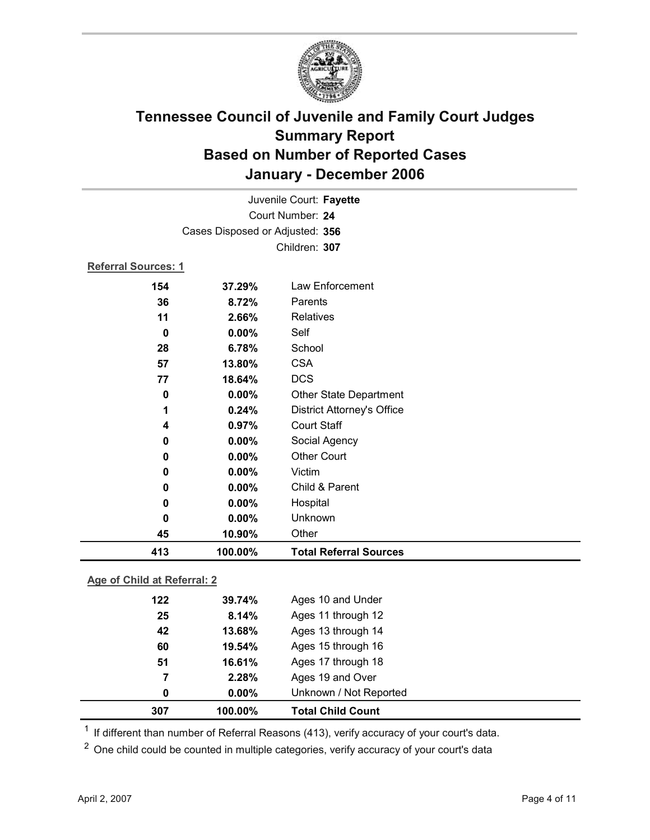

|                     |                                 | Juvenile Court: Fayette           |
|---------------------|---------------------------------|-----------------------------------|
|                     |                                 | Court Number: 24                  |
|                     | Cases Disposed or Adjusted: 356 |                                   |
|                     |                                 | Children: 307                     |
| Referral Sources: 1 |                                 |                                   |
| 154                 | 37.29%                          | Law Enforcement                   |
| 36                  | 8.72%                           | Parents                           |
| 11                  | 2.66%                           | <b>Relatives</b>                  |
| 0                   | 0.00%                           | Self                              |
| 28                  | 6.78%                           | School                            |
| 57                  | 13.80%                          | <b>CSA</b>                        |
| 77                  | 18.64%                          | <b>DCS</b>                        |
| 0                   | 0.00%                           | Other State Department            |
| 1                   | 0.24%                           | <b>District Attorney's Office</b> |
| 4                   | 0.97%                           | <b>Court Staff</b>                |
| 0                   | 0.00%                           | Social Agency                     |
| 0                   | $0.00\%$                        | <b>Other Court</b>                |
| 0                   | 0.00%                           | Victim                            |
| 0                   | $0.00\%$                        | Child & Parent                    |
| 0                   | 0.00%                           | Hospital                          |
| 0                   | 0.00%                           | Unknown                           |
| 45                  | 10.90%                          | Other                             |
| 413                 | 100.00%                         | <b>Total Referral Sources</b>     |

### **Age of Child at Referral: 2**

| 307 | 100.00%  | <b>Total Child Count</b> |  |
|-----|----------|--------------------------|--|
| 0   | $0.00\%$ | Unknown / Not Reported   |  |
| 7   | 2.28%    | Ages 19 and Over         |  |
| 51  | 16.61%   | Ages 17 through 18       |  |
| 60  | 19.54%   | Ages 15 through 16       |  |
| 42  | 13.68%   | Ages 13 through 14       |  |
| 25  | 8.14%    | Ages 11 through 12       |  |
| 122 | 39.74%   | Ages 10 and Under        |  |
|     |          |                          |  |

 $1$  If different than number of Referral Reasons (413), verify accuracy of your court's data.

<sup>2</sup> One child could be counted in multiple categories, verify accuracy of your court's data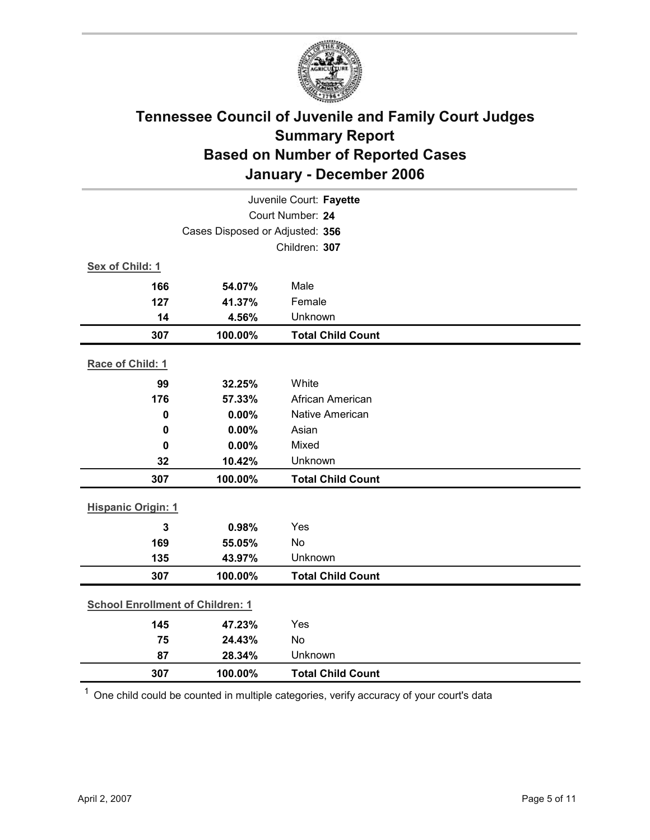

| Juvenile Court: Fayette                 |         |                          |  |  |
|-----------------------------------------|---------|--------------------------|--|--|
|                                         |         | Court Number: 24         |  |  |
| Cases Disposed or Adjusted: 356         |         |                          |  |  |
|                                         |         | Children: 307            |  |  |
| Sex of Child: 1                         |         |                          |  |  |
| 166                                     | 54.07%  | Male                     |  |  |
| 127                                     | 41.37%  | Female                   |  |  |
| 14                                      | 4.56%   | Unknown                  |  |  |
| 307                                     | 100.00% | <b>Total Child Count</b> |  |  |
| Race of Child: 1                        |         |                          |  |  |
| 99                                      | 32.25%  | White                    |  |  |
| 176                                     | 57.33%  | African American         |  |  |
| $\mathbf 0$                             | 0.00%   | Native American          |  |  |
| $\mathbf 0$                             | 0.00%   | Asian                    |  |  |
| 0                                       | 0.00%   | Mixed                    |  |  |
| 32                                      | 10.42%  | Unknown                  |  |  |
| 307                                     | 100.00% | <b>Total Child Count</b> |  |  |
| <b>Hispanic Origin: 1</b>               |         |                          |  |  |
| $\overline{3}$                          | 0.98%   | Yes                      |  |  |
| 169                                     | 55.05%  | No                       |  |  |
| 135                                     | 43.97%  | Unknown                  |  |  |
| 307                                     | 100.00% | <b>Total Child Count</b> |  |  |
| <b>School Enrollment of Children: 1</b> |         |                          |  |  |
| 145                                     | 47.23%  | Yes                      |  |  |
| 75                                      | 24.43%  | <b>No</b>                |  |  |
| 87                                      | 28.34%  | Unknown                  |  |  |
| 307                                     | 100.00% | <b>Total Child Count</b> |  |  |

 $1$  One child could be counted in multiple categories, verify accuracy of your court's data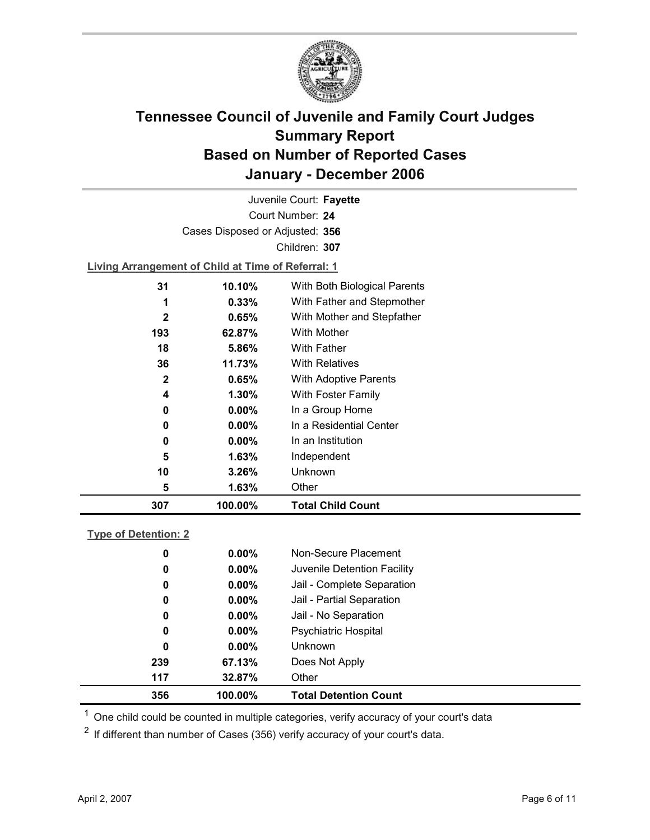

Court Number: **24** Juvenile Court: **Fayette** Cases Disposed or Adjusted: **356** Children: **307**

**Living Arrangement of Child at Time of Referral: 1**

| 307         | 100.00%  | <b>Total Child Count</b>     |
|-------------|----------|------------------------------|
| 5           | 1.63%    | Other                        |
| 10          | 3.26%    | Unknown                      |
| 5           | 1.63%    | Independent                  |
| 0           | $0.00\%$ | In an Institution            |
| 0           | $0.00\%$ | In a Residential Center      |
| 0           | $0.00\%$ | In a Group Home              |
| 4           | 1.30%    | With Foster Family           |
| $\mathbf 2$ | 0.65%    | With Adoptive Parents        |
| 36          | 11.73%   | <b>With Relatives</b>        |
| 18          | 5.86%    | <b>With Father</b>           |
| 193         | 62.87%   | With Mother                  |
| $\mathbf 2$ | 0.65%    | With Mother and Stepfather   |
| 1           | 0.33%    | With Father and Stepmother   |
| 31          | 10.10%   | With Both Biological Parents |
|             |          |                              |

### **Type of Detention: 2**

| 356 | 100.00%  | <b>Total Detention Count</b> |  |
|-----|----------|------------------------------|--|
| 117 | 32.87%   | Other                        |  |
| 239 | 67.13%   | Does Not Apply               |  |
| 0   | $0.00\%$ | <b>Unknown</b>               |  |
| 0   | $0.00\%$ | <b>Psychiatric Hospital</b>  |  |
| 0   | $0.00\%$ | Jail - No Separation         |  |
| 0   | $0.00\%$ | Jail - Partial Separation    |  |
| 0   | $0.00\%$ | Jail - Complete Separation   |  |
| 0   | $0.00\%$ | Juvenile Detention Facility  |  |
| 0   | $0.00\%$ | Non-Secure Placement         |  |
|     |          |                              |  |

 $<sup>1</sup>$  One child could be counted in multiple categories, verify accuracy of your court's data</sup>

 $2$  If different than number of Cases (356) verify accuracy of your court's data.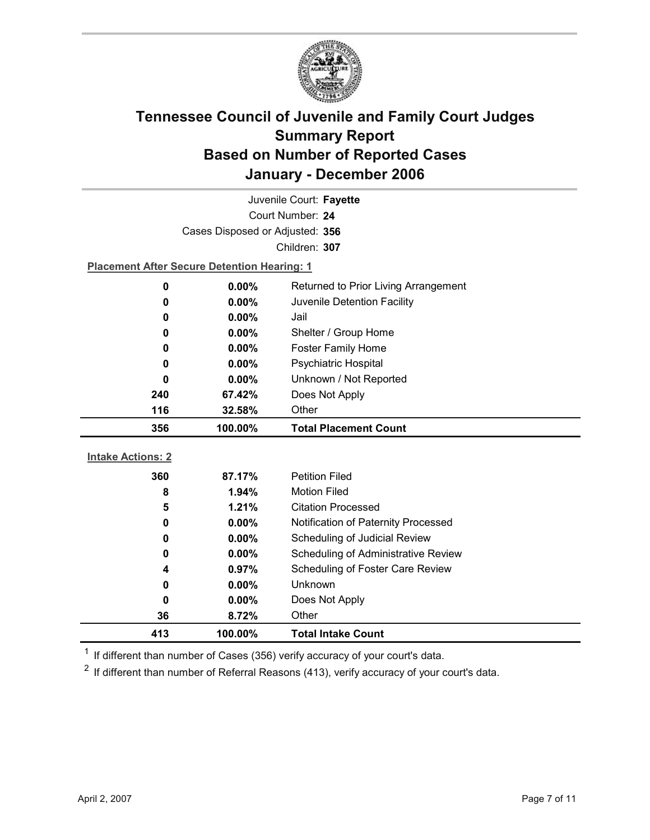

|                          | Juvenile Court: Fayette                            |                                      |  |  |  |
|--------------------------|----------------------------------------------------|--------------------------------------|--|--|--|
|                          | Court Number: 24                                   |                                      |  |  |  |
|                          | Cases Disposed or Adjusted: 356                    |                                      |  |  |  |
|                          |                                                    | Children: 307                        |  |  |  |
|                          | <b>Placement After Secure Detention Hearing: 1</b> |                                      |  |  |  |
| 0                        | 0.00%                                              | Returned to Prior Living Arrangement |  |  |  |
| 0                        | 0.00%                                              | Juvenile Detention Facility          |  |  |  |
| 0                        | $0.00\%$                                           | Jail                                 |  |  |  |
| 0                        | $0.00\%$                                           | Shelter / Group Home                 |  |  |  |
| 0                        | $0.00\%$                                           | <b>Foster Family Home</b>            |  |  |  |
| 0                        | 0.00%                                              | Psychiatric Hospital                 |  |  |  |
| 0                        | 0.00%                                              | Unknown / Not Reported               |  |  |  |
| 240                      | 67.42%                                             | Does Not Apply                       |  |  |  |
| 116                      | 32.58%                                             | Other                                |  |  |  |
|                          |                                                    |                                      |  |  |  |
| 356                      | 100.00%                                            | <b>Total Placement Count</b>         |  |  |  |
|                          |                                                    |                                      |  |  |  |
| <b>Intake Actions: 2</b> |                                                    |                                      |  |  |  |
| 360                      | 87.17%                                             | <b>Petition Filed</b>                |  |  |  |
| 8                        | 1.94%                                              | <b>Motion Filed</b>                  |  |  |  |
| 5                        | 1.21%                                              | <b>Citation Processed</b>            |  |  |  |
| 0                        | $0.00\%$                                           | Notification of Paternity Processed  |  |  |  |
| 0                        | 0.00%                                              | Scheduling of Judicial Review        |  |  |  |
| 0                        | 0.00%                                              | Scheduling of Administrative Review  |  |  |  |
| 4                        | 0.97%                                              | Scheduling of Foster Care Review     |  |  |  |
| 0                        | 0.00%                                              | Unknown                              |  |  |  |
| 0                        | 0.00%                                              | Does Not Apply                       |  |  |  |
| 36<br>413                | 8.72%<br>100.00%                                   | Other<br><b>Total Intake Count</b>   |  |  |  |

 $1$  If different than number of Cases (356) verify accuracy of your court's data.

 $2$  If different than number of Referral Reasons (413), verify accuracy of your court's data.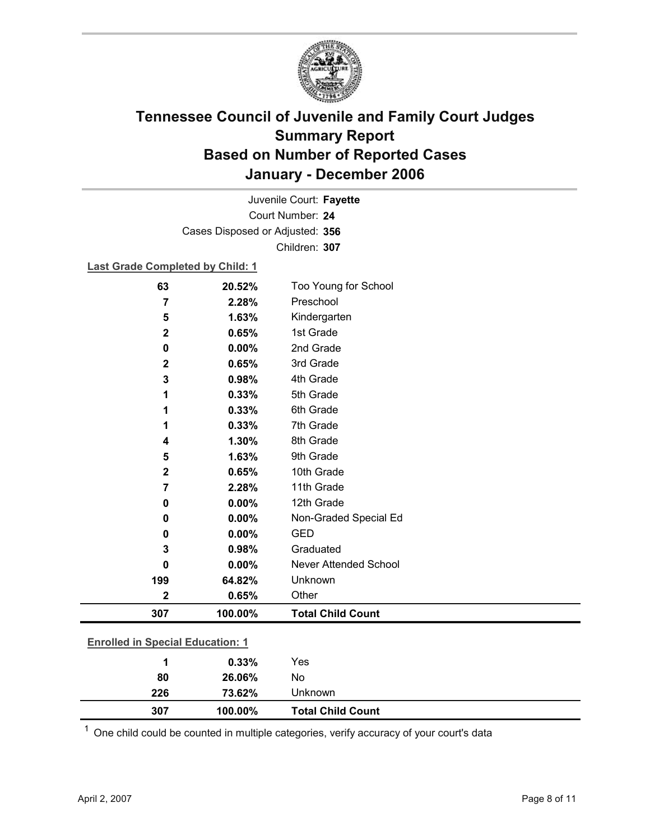

Court Number: **24** Juvenile Court: **Fayette** Cases Disposed or Adjusted: **356** Children: **307**

#### **Last Grade Completed by Child: 1**

| 63                                      | 20.52%  | Too Young for School         |
|-----------------------------------------|---------|------------------------------|
| 7                                       | 2.28%   | Preschool                    |
| 5                                       | 1.63%   | Kindergarten                 |
| $\mathbf 2$                             | 0.65%   | 1st Grade                    |
| 0                                       | 0.00%   | 2nd Grade                    |
| $\mathbf 2$                             | 0.65%   | 3rd Grade                    |
| 3                                       | 0.98%   | 4th Grade                    |
| 1                                       | 0.33%   | 5th Grade                    |
| 1                                       | 0.33%   | 6th Grade                    |
| 1                                       | 0.33%   | 7th Grade                    |
| 4                                       | 1.30%   | 8th Grade                    |
| 5                                       | 1.63%   | 9th Grade                    |
| $\mathbf 2$                             | 0.65%   | 10th Grade                   |
| 7                                       | 2.28%   | 11th Grade                   |
| 0                                       | 0.00%   | 12th Grade                   |
| 0                                       | 0.00%   | Non-Graded Special Ed        |
| 0                                       | 0.00%   | <b>GED</b>                   |
| 3                                       | 0.98%   | Graduated                    |
| 0                                       | 0.00%   | <b>Never Attended School</b> |
| 199                                     | 64.82%  | Unknown                      |
| $\mathbf 2$                             | 0.65%   | Other                        |
| 307                                     | 100.00% | <b>Total Child Count</b>     |
|                                         |         |                              |
| <b>Enrolled in Special Education: 1</b> |         |                              |
| 1                                       | 0.33%   | Yes                          |

| 307 | 100.00% | <b>Total Child Count</b> |  |
|-----|---------|--------------------------|--|
| 226 | 73.62%  | Unknown                  |  |
| 80  | 26.06%  | No                       |  |

 $1$  One child could be counted in multiple categories, verify accuracy of your court's data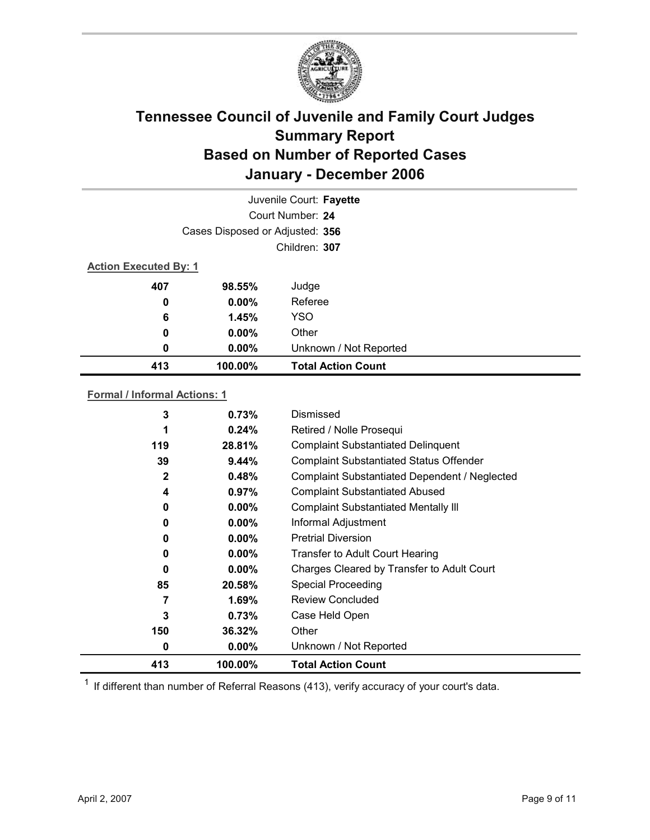

|                              | Juvenile Court: Fayette         |                           |  |  |
|------------------------------|---------------------------------|---------------------------|--|--|
|                              |                                 | Court Number: 24          |  |  |
|                              | Cases Disposed or Adjusted: 356 |                           |  |  |
|                              |                                 | Children: 307             |  |  |
| <b>Action Executed By: 1</b> |                                 |                           |  |  |
| 407                          | 98.55%                          | Judge                     |  |  |
| 0                            | $0.00\%$                        | Referee                   |  |  |
| 6                            | 1.45%                           | <b>YSO</b>                |  |  |
| 0                            | $0.00\%$                        | Other                     |  |  |
| 0                            | $0.00\%$                        | Unknown / Not Reported    |  |  |
| 413                          | 100.00%                         | <b>Total Action Count</b> |  |  |

### **Formal / Informal Actions: 1**

| 0            | $0.00\%$ | Unknown / Not Reported                         |
|--------------|----------|------------------------------------------------|
| 150          | 36.32%   | Other                                          |
| 3            | 0.73%    | Case Held Open                                 |
| 7            | $1.69\%$ | Review Concluded                               |
| 85           | 20.58%   | <b>Special Proceeding</b>                      |
| $\bf{0}$     | $0.00\%$ | Charges Cleared by Transfer to Adult Court     |
| 0            | $0.00\%$ | Transfer to Adult Court Hearing                |
| 0            | $0.00\%$ | <b>Pretrial Diversion</b>                      |
| 0            | $0.00\%$ | Informal Adjustment                            |
| 0            | $0.00\%$ | <b>Complaint Substantiated Mentally III</b>    |
| 4            | 0.97%    | <b>Complaint Substantiated Abused</b>          |
| $\mathbf{2}$ | 0.48%    | Complaint Substantiated Dependent / Neglected  |
| 39           | 9.44%    | <b>Complaint Substantiated Status Offender</b> |
| 119          | 28.81%   | <b>Complaint Substantiated Delinquent</b>      |
| 1            | 0.24%    | Retired / Nolle Prosequi                       |
| 3            | 0.73%    | Dismissed                                      |

 $1$  If different than number of Referral Reasons (413), verify accuracy of your court's data.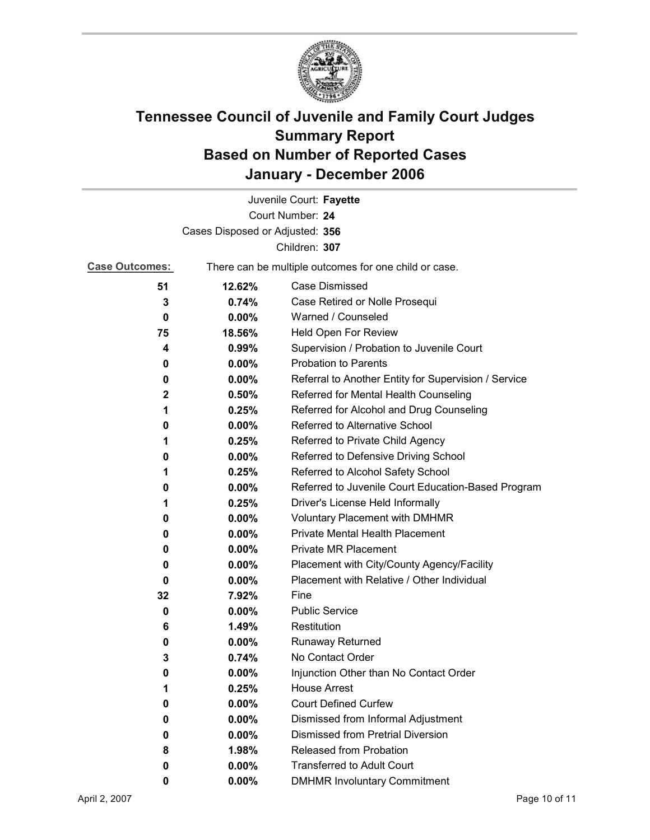

| Juvenile Court: Fayette         |                                                       |                                                      |  |  |  |
|---------------------------------|-------------------------------------------------------|------------------------------------------------------|--|--|--|
| Court Number: 24                |                                                       |                                                      |  |  |  |
| Cases Disposed or Adjusted: 356 |                                                       |                                                      |  |  |  |
| Children: 307                   |                                                       |                                                      |  |  |  |
| <b>Case Outcomes:</b>           | There can be multiple outcomes for one child or case. |                                                      |  |  |  |
| 51                              | 12.62%                                                | Case Dismissed                                       |  |  |  |
| 3                               | 0.74%                                                 | Case Retired or Nolle Prosequi                       |  |  |  |
| 0                               | 0.00%                                                 | Warned / Counseled                                   |  |  |  |
| 75                              | 18.56%                                                | Held Open For Review                                 |  |  |  |
| 4                               | 0.99%                                                 | Supervision / Probation to Juvenile Court            |  |  |  |
| 0                               | 0.00%                                                 | <b>Probation to Parents</b>                          |  |  |  |
| 0                               | $0.00\%$                                              | Referral to Another Entity for Supervision / Service |  |  |  |
| $\mathbf{2}$                    | 0.50%                                                 | Referred for Mental Health Counseling                |  |  |  |
| 1                               | 0.25%                                                 | Referred for Alcohol and Drug Counseling             |  |  |  |
| 0                               | $0.00\%$                                              | <b>Referred to Alternative School</b>                |  |  |  |
| 1                               | 0.25%                                                 | Referred to Private Child Agency                     |  |  |  |
| 0                               | $0.00\%$                                              | Referred to Defensive Driving School                 |  |  |  |
| 1                               | 0.25%                                                 | Referred to Alcohol Safety School                    |  |  |  |
| 0                               | $0.00\%$                                              | Referred to Juvenile Court Education-Based Program   |  |  |  |
| 1                               | 0.25%                                                 | Driver's License Held Informally                     |  |  |  |
| 0                               | $0.00\%$                                              | <b>Voluntary Placement with DMHMR</b>                |  |  |  |
| 0                               | $0.00\%$                                              | <b>Private Mental Health Placement</b>               |  |  |  |
| 0                               | $0.00\%$                                              | <b>Private MR Placement</b>                          |  |  |  |
| 0                               | $0.00\%$                                              | Placement with City/County Agency/Facility           |  |  |  |
| 0                               | 0.00%                                                 | Placement with Relative / Other Individual           |  |  |  |
| 32                              | 7.92%                                                 | Fine                                                 |  |  |  |
| 0                               | $0.00\%$                                              | <b>Public Service</b>                                |  |  |  |
| 6                               | 1.49%                                                 | Restitution                                          |  |  |  |
| 0                               | $0.00\%$                                              | <b>Runaway Returned</b>                              |  |  |  |
| 3                               | 0.74%                                                 | No Contact Order                                     |  |  |  |
| 0                               | $0.00\%$                                              | Injunction Other than No Contact Order               |  |  |  |
| 1                               | 0.25%                                                 | <b>House Arrest</b>                                  |  |  |  |
| 0                               | 0.00%                                                 | <b>Court Defined Curfew</b>                          |  |  |  |
| 0                               | 0.00%                                                 | Dismissed from Informal Adjustment                   |  |  |  |
| 0                               | $0.00\%$                                              | <b>Dismissed from Pretrial Diversion</b>             |  |  |  |
| 8                               | 1.98%                                                 | Released from Probation                              |  |  |  |
| 0                               | $0.00\%$                                              | <b>Transferred to Adult Court</b>                    |  |  |  |
| 0                               | $0.00\%$                                              | <b>DMHMR Involuntary Commitment</b>                  |  |  |  |